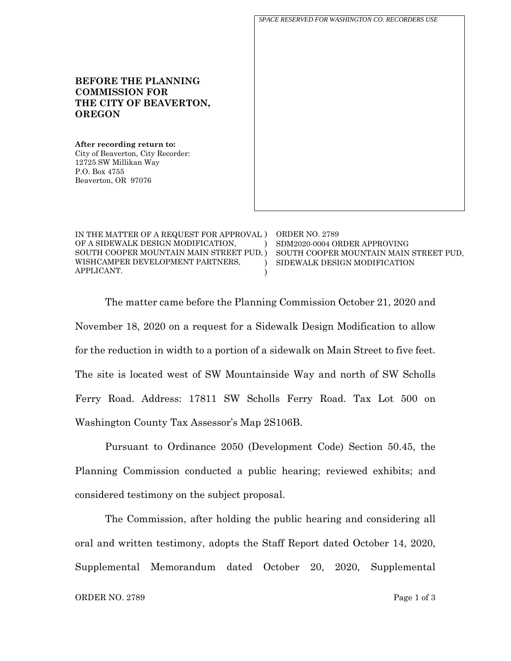

The matter came before the Planning Commission October 21, 2020 and November 18, 2020 on a request for a Sidewalk Design Modification to allow for the reduction in width to a portion of a sidewalk on Main Street to five feet. The site is located west of SW Mountainside Way and north of SW Scholls Ferry Road. Address: 17811 SW Scholls Ferry Road. Tax Lot 500 on Washington County Tax Assessor's Map 2S106B.

) )

Pursuant to Ordinance 2050 (Development Code) Section 50.45, the Planning Commission conducted a public hearing; reviewed exhibits; and considered testimony on the subject proposal.

The Commission, after holding the public hearing and considering all oral and written testimony, adopts the Staff Report dated October 14, 2020, Supplemental Memorandum dated October 20, 2020, Supplemental

APPLICANT.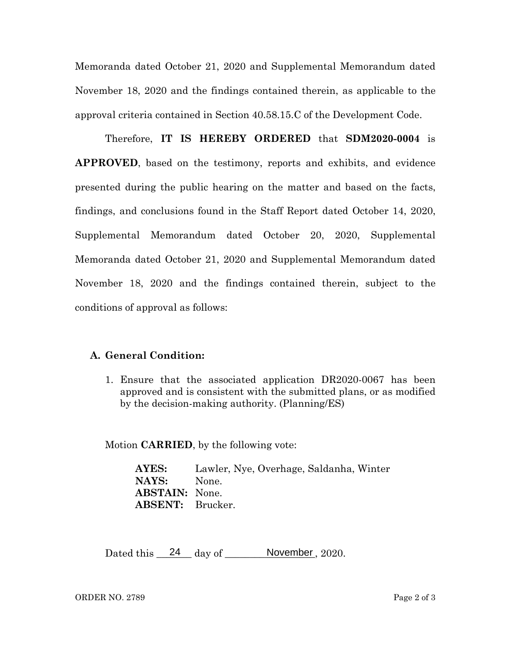Memoranda dated October 21, 2020 and Supplemental Memorandum dated November 18, 2020 and the findings contained therein, as applicable to the approval criteria contained in Section 40.58.15.C of the Development Code.

Therefore, **IT IS HEREBY ORDERED** that **SDM2020-0004** is **APPROVED**, based on the testimony, reports and exhibits, and evidence presented during the public hearing on the matter and based on the facts, findings, and conclusions found in the Staff Report dated October 14, 2020, Supplemental Memorandum dated October 20, 2020, Supplemental Memoranda dated October 21, 2020 and Supplemental Memorandum dated November 18, 2020 and the findings contained therein, subject to the conditions of approval as follows:

## **A. General Condition:**

1. Ensure that the associated application DR2020-0067 has been approved and is consistent with the submitted plans, or as modified by the decision-making authority. (Planning/ES)

Motion **CARRIED**, by the following vote:

**AYES:** Lawler, Nye, Overhage, Saldanha, Winter **NAYS:** None. **ABSTAIN:** None. **ABSENT:** Brucker.

Dated this  $\frac{24}{100}$  day of  $\frac{1}{2020}$ .

ORDER NO. 2789 Page 2 of 3